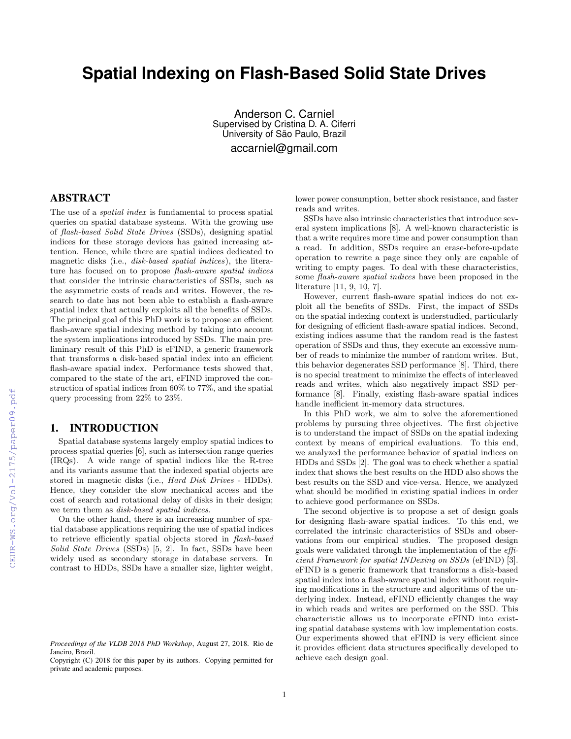# **Spatial Indexing on Flash-Based Solid State Drives**

Anderson C. Carniel Supervised by Cristina D. A. Ciferri University of São Paulo, Brazil accarniel@gmail.com

# ABSTRACT

The use of a spatial index is fundamental to process spatial queries on spatial database systems. With the growing use of flash-based Solid State Drives (SSDs), designing spatial indices for these storage devices has gained increasing attention. Hence, while there are spatial indices dedicated to magnetic disks (i.e., disk-based spatial indices), the literature has focused on to propose flash-aware spatial indices that consider the intrinsic characteristics of SSDs, such as the asymmetric costs of reads and writes. However, the research to date has not been able to establish a flash-aware spatial index that actually exploits all the benefits of SSDs. The principal goal of this PhD work is to propose an efficient flash-aware spatial indexing method by taking into account the system implications introduced by SSDs. The main preliminary result of this PhD is eFIND, a generic framework that transforms a disk-based spatial index into an efficient flash-aware spatial index. Performance tests showed that, compared to the state of the art, eFIND improved the construction of spatial indices from 60% to 77%, and the spatial query processing from 22% to 23%.

### 1. INTRODUCTION

Spatial database systems largely employ spatial indices to process spatial queries [6], such as intersection range queries (IRQs). A wide range of spatial indices like the R-tree and its variants assume that the indexed spatial objects are stored in magnetic disks (i.e., Hard Disk Drives - HDDs). Hence, they consider the slow mechanical access and the cost of search and rotational delay of disks in their design; we term them as disk-based spatial indices.

On the other hand, there is an increasing number of spatial database applications requiring the use of spatial indices to retrieve efficiently spatial objects stored in flash-based Solid State Drives (SSDs) [5, 2]. In fact, SSDs have been widely used as secondary storage in database servers. In contrast to HDDs, SSDs have a smaller size, lighter weight, lower power consumption, better shock resistance, and faster reads and writes.

SSDs have also intrinsic characteristics that introduce several system implications [8]. A well-known characteristic is that a write requires more time and power consumption than a read. In addition, SSDs require an erase-before-update operation to rewrite a page since they only are capable of writing to empty pages. To deal with these characteristics, some flash-aware spatial indices have been proposed in the literature [11, 9, 10, 7].

However, current flash-aware spatial indices do not exploit all the benefits of SSDs. First, the impact of SSDs on the spatial indexing context is understudied, particularly for designing of efficient flash-aware spatial indices. Second, existing indices assume that the random read is the fastest operation of SSDs and thus, they execute an excessive number of reads to minimize the number of random writes. But, this behavior degenerates SSD performance [8]. Third, there is no special treatment to minimize the effects of interleaved reads and writes, which also negatively impact SSD performance [8]. Finally, existing flash-aware spatial indices handle inefficient in-memory data structures.

In this PhD work, we aim to solve the aforementioned problems by pursuing three objectives. The first objective is to understand the impact of SSDs on the spatial indexing context by means of empirical evaluations. To this end, we analyzed the performance behavior of spatial indices on HDDs and SSDs [2]. The goal was to check whether a spatial index that shows the best results on the HDD also shows the best results on the SSD and vice-versa. Hence, we analyzed what should be modified in existing spatial indices in order to achieve good performance on SSDs.

The second objective is to propose a set of design goals for designing flash-aware spatial indices. To this end, we correlated the intrinsic characteristics of SSDs and observations from our empirical studies. The proposed design goals were validated through the implementation of the efficient Framework for spatial INDexing on SSDs (eFIND) [3]. eFIND is a generic framework that transforms a disk-based spatial index into a flash-aware spatial index without requiring modifications in the structure and algorithms of the underlying index. Instead, eFIND efficiently changes the way in which reads and writes are performed on the SSD. This characteristic allows us to incorporate eFIND into existing spatial database systems with low implementation costs. Our experiments showed that eFIND is very efficient since it provides efficient data structures specifically developed to achieve each design goal.

*Proceedings of the VLDB 2018 PhD Workshop*, August 27, 2018. Rio de Janeiro, Brazil.

Copyright (C) 2018 for this paper by its authors. Copying permitted for private and academic purposes.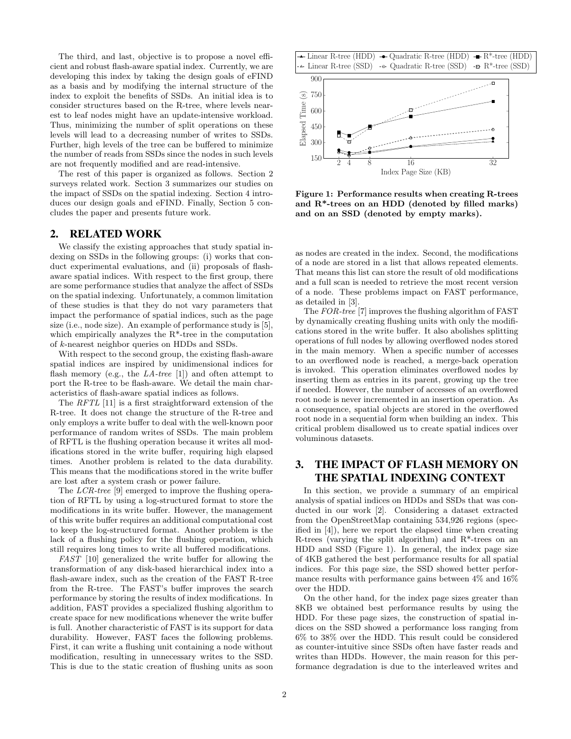The third, and last, objective is to propose a novel efficient and robust flash-aware spatial index. Currently, we are developing this index by taking the design goals of eFIND as a basis and by modifying the internal structure of the index to exploit the benefits of SSDs. An initial idea is to consider structures based on the R-tree, where levels nearest to leaf nodes might have an update-intensive workload. Thus, minimizing the number of split operations on these levels will lead to a decreasing number of writes to SSDs. Further, high levels of the tree can be buffered to minimize the number of reads from SSDs since the nodes in such levels are not frequently modified and are read-intensive.

The rest of this paper is organized as follows. Section 2 surveys related work. Section 3 summarizes our studies on the impact of SSDs on the spatial indexing. Section 4 introduces our design goals and eFIND. Finally, Section 5 concludes the paper and presents future work.

#### 2. RELATED WORK

We classify the existing approaches that study spatial indexing on SSDs in the following groups: (i) works that conduct experimental evaluations, and (ii) proposals of flashaware spatial indices. With respect to the first group, there are some performance studies that analyze the affect of SSDs on the spatial indexing. Unfortunately, a common limitation of these studies is that they do not vary parameters that impact the performance of spatial indices, such as the page size (i.e., node size). An example of performance study is [5], which empirically analyzes the R\*-tree in the computation of k-nearest neighbor queries on HDDs and SSDs.

With respect to the second group, the existing flash-aware spatial indices are inspired by unidimensional indices for flash memory (e.g., the  $LA$ -tree [1]) and often attempt to port the R-tree to be flash-aware. We detail the main characteristics of flash-aware spatial indices as follows.

The RFTL [11] is a first straightforward extension of the R-tree. It does not change the structure of the R-tree and only employs a write buffer to deal with the well-known poor performance of random writes of SSDs. The main problem of RFTL is the flushing operation because it writes all modifications stored in the write buffer, requiring high elapsed times. Another problem is related to the data durability. This means that the modifications stored in the write buffer are lost after a system crash or power failure.

The LCR-tree [9] emerged to improve the flushing operation of RFTL by using a log-structured format to store the modifications in its write buffer. However, the management of this write buffer requires an additional computational cost to keep the log-structured format. Another problem is the lack of a flushing policy for the flushing operation, which still requires long times to write all buffered modifications.

FAST [10] generalized the write buffer for allowing the transformation of any disk-based hierarchical index into a flash-aware index, such as the creation of the FAST R-tree from the R-tree. The FAST's buffer improves the search performance by storing the results of index modifications. In addition, FAST provides a specialized flushing algorithm to create space for new modifications whenever the write buffer is full. Another characteristic of FAST is its support for data durability. However, FAST faces the following problems. First, it can write a flushing unit containing a node without modification, resulting in unnecessary writes to the SSD. This is due to the static creation of flushing units as soon



Figure 1: Performance results when creating R-trees and R\*-trees on an HDD (denoted by filled marks) and on an SSD (denoted by empty marks).

as nodes are created in the index. Second, the modifications of a node are stored in a list that allows repeated elements. That means this list can store the result of old modifications and a full scan is needed to retrieve the most recent version of a node. These problems impact on FAST performance, as detailed in [3].

The FOR-tree [7] improves the flushing algorithm of FAST by dynamically creating flushing units with only the modifications stored in the write buffer. It also abolishes splitting operations of full nodes by allowing overflowed nodes stored in the main memory. When a specific number of accesses to an overflowed node is reached, a merge-back operation is invoked. This operation eliminates overflowed nodes by inserting them as entries in its parent, growing up the tree if needed. However, the number of accesses of an overflowed root node is never incremented in an insertion operation. As a consequence, spatial objects are stored in the overflowed root node in a sequential form when building an index. This critical problem disallowed us to create spatial indices over voluminous datasets.

# 3. THE IMPACT OF FLASH MEMORY ON THE SPATIAL INDEXING CONTEXT

In this section, we provide a summary of an empirical analysis of spatial indices on HDDs and SSDs that was conducted in our work [2]. Considering a dataset extracted from the OpenStreetMap containing 534,926 regions (specified in [4]), here we report the elapsed time when creating R-trees (varying the split algorithm) and  $R^*$ -trees on an HDD and SSD (Figure 1). In general, the index page size of 4KB gathered the best performance results for all spatial indices. For this page size, the SSD showed better performance results with performance gains between 4% and 16% over the HDD.

On the other hand, for the index page sizes greater than 8KB we obtained best performance results by using the HDD. For these page sizes, the construction of spatial indices on the SSD showed a performance loss ranging from 6% to 38% over the HDD. This result could be considered as counter-intuitive since SSDs often have faster reads and writes than HDDs. However, the main reason for this performance degradation is due to the interleaved writes and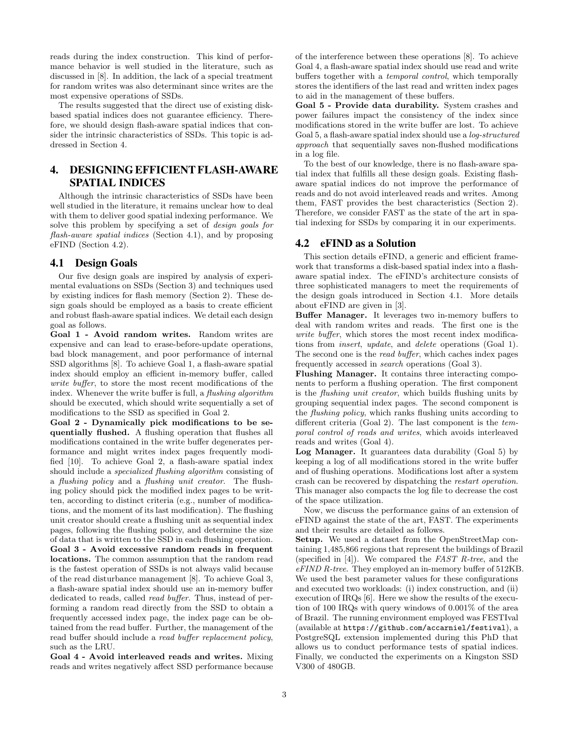reads during the index construction. This kind of performance behavior is well studied in the literature, such as discussed in [8]. In addition, the lack of a special treatment for random writes was also determinant since writes are the most expensive operations of SSDs.

The results suggested that the direct use of existing diskbased spatial indices does not guarantee efficiency. Therefore, we should design flash-aware spatial indices that consider the intrinsic characteristics of SSDs. This topic is addressed in Section 4.

# 4. DESIGNING EFFICIENT FLASH-AWARE SPATIAL INDICES

Although the intrinsic characteristics of SSDs have been well studied in the literature, it remains unclear how to deal with them to deliver good spatial indexing performance. We solve this problem by specifying a set of design goals for flash-aware spatial indices (Section 4.1), and by proposing eFIND (Section 4.2).

#### 4.1 Design Goals

Our five design goals are inspired by analysis of experimental evaluations on SSDs (Section 3) and techniques used by existing indices for flash memory (Section 2). These design goals should be employed as a basis to create efficient and robust flash-aware spatial indices. We detail each design goal as follows.

Goal 1 - Avoid random writes. Random writes are expensive and can lead to erase-before-update operations, bad block management, and poor performance of internal SSD algorithms [8]. To achieve Goal 1, a flash-aware spatial index should employ an efficient in-memory buffer, called write buffer, to store the most recent modifications of the index. Whenever the write buffer is full, a *flushing algorithm* should be executed, which should write sequentially a set of modifications to the SSD as specified in Goal 2.

Goal 2 - Dynamically pick modifications to be sequentially flushed. A flushing operation that flushes all modifications contained in the write buffer degenerates performance and might writes index pages frequently modified [10]. To achieve Goal 2, a flash-aware spatial index should include a specialized flushing algorithm consisting of a flushing policy and a flushing unit creator. The flushing policy should pick the modified index pages to be written, according to distinct criteria (e.g., number of modifications, and the moment of its last modification). The flushing unit creator should create a flushing unit as sequential index pages, following the flushing policy, and determine the size of data that is written to the SSD in each flushing operation.

Goal 3 - Avoid excessive random reads in frequent locations. The common assumption that the random read is the fastest operation of SSDs is not always valid because of the read disturbance management [8]. To achieve Goal 3, a flash-aware spatial index should use an in-memory buffer dedicated to reads, called read buffer. Thus, instead of performing a random read directly from the SSD to obtain a frequently accessed index page, the index page can be obtained from the read buffer. Further, the management of the read buffer should include a read buffer replacement policy, such as the LRU.

Goal 4 - Avoid interleaved reads and writes. Mixing reads and writes negatively affect SSD performance because of the interference between these operations [8]. To achieve Goal 4, a flash-aware spatial index should use read and write buffers together with a temporal control, which temporally stores the identifiers of the last read and written index pages to aid in the management of these buffers.

Goal 5 - Provide data durability. System crashes and power failures impact the consistency of the index since modifications stored in the write buffer are lost. To achieve Goal 5, a flash-aware spatial index should use a log-structured approach that sequentially saves non-flushed modifications in a log file.

To the best of our knowledge, there is no flash-aware spatial index that fulfills all these design goals. Existing flashaware spatial indices do not improve the performance of reads and do not avoid interleaved reads and writes. Among them, FAST provides the best characteristics (Section 2). Therefore, we consider FAST as the state of the art in spatial indexing for SSDs by comparing it in our experiments.

#### 4.2 eFIND as a Solution

This section details eFIND, a generic and efficient framework that transforms a disk-based spatial index into a flashaware spatial index. The eFIND's architecture consists of three sophisticated managers to meet the requirements of the design goals introduced in Section 4.1. More details about eFIND are given in [3].

Buffer Manager. It leverages two in-memory buffers to deal with random writes and reads. The first one is the write buffer, which stores the most recent index modifications from insert, update, and delete operations (Goal 1). The second one is the read buffer, which caches index pages frequently accessed in search operations (Goal 3).

Flushing Manager. It contains three interacting components to perform a flushing operation. The first component is the flushing unit creator, which builds flushing units by grouping sequential index pages. The second component is the flushing policy, which ranks flushing units according to different criteria (Goal 2). The last component is the temporal control of reads and writes, which avoids interleaved reads and writes (Goal 4).

Log Manager. It guarantees data durability (Goal 5) by keeping a log of all modifications stored in the write buffer and of flushing operations. Modifications lost after a system crash can be recovered by dispatching the restart operation. This manager also compacts the log file to decrease the cost of the space utilization.

Now, we discuss the performance gains of an extension of eFIND against the state of the art, FAST. The experiments and their results are detailed as follows.

Setup. We used a dataset from the OpenStreetMap containing 1,485,866 regions that represent the buildings of Brazil (specified in  $[4]$ ). We compared the *FAST R-tree*, and the eFIND R-tree. They employed an in-memory buffer of 512KB. We used the best parameter values for these configurations and executed two workloads: (i) index construction, and (ii) execution of IRQs [6]. Here we show the results of the execution of 100 IRQs with query windows of 0.001% of the area of Brazil. The running environment employed was FESTIval (available at https://github.com/accarniel/festival), a PostgreSQL extension implemented during this PhD that allows us to conduct performance tests of spatial indices. Finally, we conducted the experiments on a Kingston SSD V300 of 480GB.